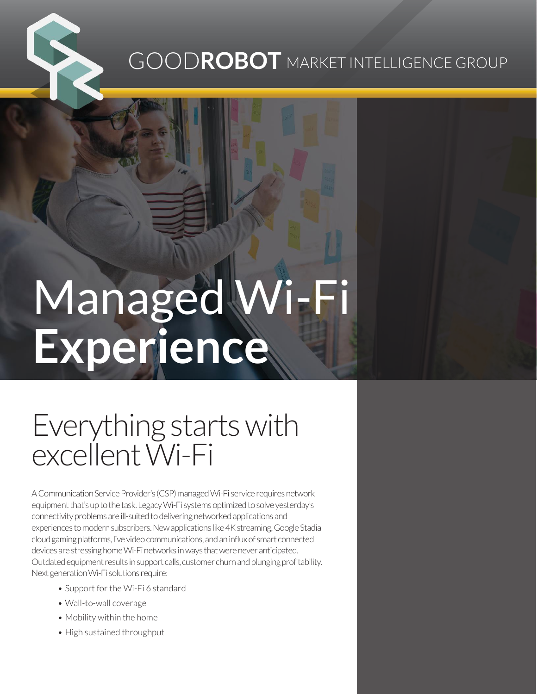### GOOD**ROBOT** MARKET INTELLIGENCE GROUP

# Managed Wi-Fi **Experience**

## Everything starts with excellent Wi-Fi

A Communication Service Provider's (CSP) managed Wi-Fi service requires network equipment that's up to the task. Legacy Wi-Fi systems optimized to solve yesterday's connectivity problems are ill-suited to delivering networked applications and experiences to modern subscribers. New applications like 4K streaming, Google Stadia cloud gaming platforms, live video communications, and an influx of smart connected devices are stressing home Wi-Fi networks in ways that were never anticipated. Outdated equipment results in support calls, customer churn and plunging profitability. Next generation Wi-Fi solutions require:

- Support for the Wi-Fi 6 standard
- Wall-to-wall coverage
- Mobility within the home
- High sustained throughput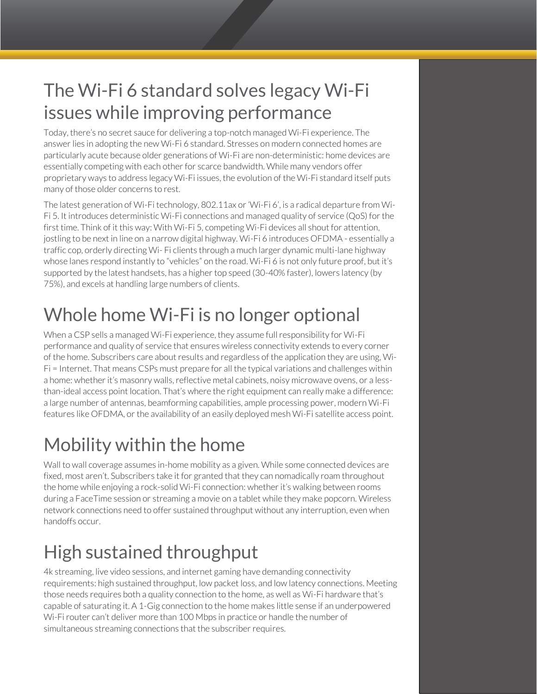#### The Wi-Fi 6 standard solves legacy Wi-Fi issues while improving performance

Today, there's no secret sauce for delivering a top-notch managed Wi-Fi experience. The answer lies in adopting the new Wi-Fi 6 standard. Stresses on modern connected homes are particularly acute because older generations of Wi-Fi are non-deterministic: home devices are essentially competing with each other for scarce bandwidth. While many vendors offer proprietary ways to address legacy Wi-Fi issues, the evolution of the Wi-Fi standard itself puts many of those older concerns to rest.

The latest generation of Wi-Fi technology, 802.11ax or 'Wi-Fi 6', is a radical departure from Wi-Fi 5. It introduces deterministic Wi-Fi connections and managed quality of service (QoS) for the first time. Think of it this way: With Wi-Fi 5, competing Wi-Fi devices all shout for attention, jostling to be next in line on a narrow digital highway. Wi-Fi 6 introduces OFDMA - essentially a traffic cop, orderly directing Wi- Fi clients through a much larger dynamic multi-lane highway whose lanes respond instantly to "vehicles" on the road. Wi-Fi 6 is not only future proof, but it's supported by the latest handsets, has a higher top speed (30-40% faster), lowers latency (by 75%), and excels at handling large numbers of clients.

#### Whole home Wi-Fi is no longer optional

When a CSP sells a managed Wi-Fi experience, they assume full responsibility for Wi-Fi performance and quality of service that ensures wireless connectivity extends to every corner of the home. Subscribers care about results and regardless of the application they are using, Wi-Fi = Internet. That means CSPs must prepare for all the typical variations and challenges within a home: whether it's masonry walls, reflective metal cabinets, noisy microwave ovens, or a lessthan-ideal access point location. That's where the right equipment can really make a difference: a large number of antennas, beamforming capabilities, ample processing power, modern Wi-Fi features like OFDMA, or the availability of an easily deployed mesh Wi-Fi satellite access point.

#### Mobility within the home

Wall to wall coverage assumes in-home mobility as a given. While some connected devices are fixed, most aren't. Subscribers take it for granted that they can nomadically roam throughout the home while enjoying a rock-solid Wi-Fi connection: whether it's walking between rooms during a FaceTime session or streaming a movie on a tablet while they make popcorn. Wireless network connections need to offer sustained throughput without any interruption, even when handoffs occur.

#### High sustained throughput

4k streaming, live video sessions, and internet gaming have demanding connectivity requirements: high sustained throughput, low packet loss, and low latency connections. Meeting those needs requires both a quality connection to the home, as well as Wi-Fi hardware that's capable of saturating it. A 1-Gig connection to the home makes little sense if an underpowered Wi-Fi router can't deliver more than 100 Mbps in practice or handle the number of simultaneous streaming connections that the subscriber requires.